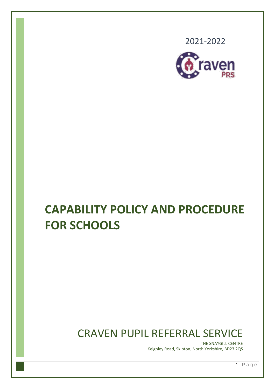2021-2022



# **CAPABILITY POLICY AND PROCEDURE FOR SCHOOLS**

## CRAVEN PUPIL REFERRAL SERVICE

THE SNAYGILL CENTRE Keighley Road, Skipton, North Yorkshire, BD23 2QS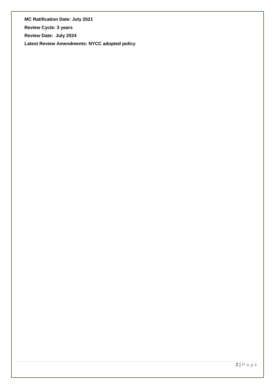**MC Ratification Date: July 2021**

**Review Cycle: 3 years**

**Review Date: July 2024**

**Latest Review Amendments: NYCC adopted policy**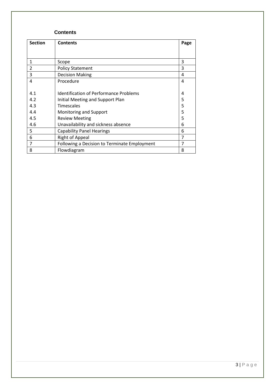#### **Contents**

| <b>Section</b> | <b>Contents</b>                               | Page |
|----------------|-----------------------------------------------|------|
|                |                                               |      |
| 1              | Scope                                         | 3    |
| $\overline{2}$ | <b>Policy Statement</b>                       | 3    |
| 3              | <b>Decision Making</b>                        | 4    |
| $\overline{4}$ | Procedure                                     | 4    |
| 4.1            | <b>Identification of Performance Problems</b> | 4    |
| 4.2            | Initial Meeting and Support Plan              | 5    |
| 4.3            | <b>Timescales</b>                             | 5    |
| 4.4            | Monitoring and Support                        | 5    |
| 4.5            | <b>Review Meeting</b>                         | 5    |
| 4.6            | Unavailability and sickness absence           |      |
| 5              | <b>Capability Panel Hearings</b>              |      |
| 6              | <b>Right of Appeal</b>                        |      |
| 7              | Following a Decision to Terminate Employment  | 7    |
| 8              | Flowdiagram                                   | 8    |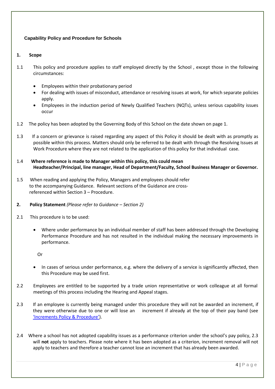#### **Capability Policy and Procedure for Schools**

#### **1. Scope**

- 1.1 This policy and procedure applies to staff employed directly by the School , except those in the following circumstances:
	- Employees within their probationary period
	- For dealing with issues of misconduct, attendance or resolving issues at work, for which separate policies apply.
	- Employees in the induction period of Newly Qualified Teachers (NQTs), unless serious capability issues occur
- 1.2 The policy has been adopted by the Governing Body of this School on the date shown on page 1.
- 1.3 If a concern or grievance is raised regarding any aspect of this Policy it should be dealt with as promptly as possible within this process. Matters should only be referred to be dealt with through the Resolving Issues at Work Procedure where they are not related to the application of this policy for that individual case.
- 1.4 **Where reference is made to Manager within this policy, this could mean Headteacher/Principal, line manager, Head of Department/Faculty, School Business Manager or Governor.**
- 1.5 When reading and applying the Policy, Managers and employees should refer to the accompanying Guidance. Relevant sections of the Guidance are cross referenced within Section 3 – Procedure.
- **2. Policy Statement** *(Please refer to Guidance – Section 2)*
- 2.1 This procedure is to be used:
	- Where under performance by an individual member of staff has been addressed through the Developing Performance Procedure and has not resulted in the individual making the necessary improvements in performance.

Or

- In cases of serious under performance, e.g. where the delivery of a service is significantly affected, then this Procedure may be used first.
- 2.2 Employees are entitled to be supported by a trade union representative or work colleague at all formal meetings of this process including the Hearing and Appeal stages.
- 2.3 If an employee is currently being managed under this procedure they will not be awarded an increment, if they were otherwise due to one or will lose an increment if already at the top of their pay band (see ['Increments Policy & Procedure'](http://cyps.northyorks.gov.uk/index.aspx?articleid=30845)).
- 2.4 Where a school has not adopted capability issues as a performance criterion under the school's pay policy, 2.3 will **not** apply to teachers. Please note where it has been adopted as a criterion, increment removal will not apply to teachers and therefore a teacher cannot lose an increment that has already been awarded.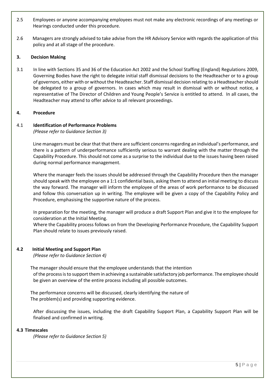- 2.5 Employees or anyone accompanying employees must not make any electronic recordings of any meetings or Hearings conducted under this procedure.
- 2.6 Managers are strongly advised to take advise from the HR Advisory Service with regards the application of this policy and at all stage of the procedure.

#### **3. Decision Making**

3.1 In line with Sections 35 and 36 of the Education Act 2002 and the School Staffing (England) Regulations 2009, Governing Bodies have the right to delegate initial staff dismissal decisions to the Headteacher or to a group of governors, either with or without the Headteacher. Staff dismissal decision relating to a Headteacher should be delegated to a group of governors. In cases which may result in dismissal with or without notice, a representative of The Director of Children and Young People's Service is entitled to attend. In all cases, the Headteacher may attend to offer advice to all relevant proceedings.

#### **4. Procedure**

#### 4.1 **Identification of Performance Problems**

*(Please refer to Guidance Section 3)*

Line managers must be clear that that there are sufficient concerns regarding an individual's performance, and there is a pattern of underperformance sufficiently serious to warrant dealing with the matter through the Capability Procedure. This should not come as a surprise to the individual due to the issues having been raised during normal performance management.

Where the manager feels the issues should be addressed through the Capability Procedure then the manager should speak with the employee on a 1:1 confidential basis, asking them to attend an initial meeting to discuss the way forward. The manager will inform the employee of the areas of work performance to be discussed and follow this conversation up in writing. The employee will be given a copy of the Capability Policy and Procedure, emphasising the supportive nature of the process.

In preparation for the meeting, the manager will produce a draft Support Plan and give it to the employee for consideration at the Initial Meeting.

Where the Capability process follows on from the Developing Performance Procedure, the Capability Support Plan should relate to issues previously raised.

#### **4.2 Initial Meeting and Support Plan**

*(Please refer to Guidance Section 4)*

 The manager should ensure that the employee understands that the intention of the process is to support them in achieving a sustainable satisfactory job performance. The employee should be given an overview of the entire process including all possible outcomes.

 The performance concerns will be discussed, clearly identifying the nature of The problem(s) and providing supporting evidence.

After discussing the issues, including the draft Capability Support Plan, a Capability Support Plan will be finalised and confirmed in writing.

#### **4.3 Timescales**

*(Please refer to Guidance Section 5)*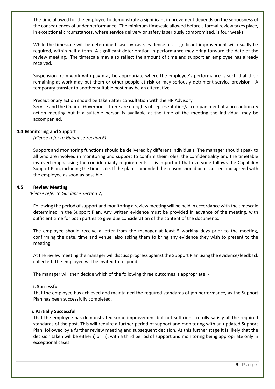The time allowed for the employee to demonstrate a significant improvement depends on the seriousness of the consequences of under performance. The minimum timescale allowed before a formal review takes place, in exceptional circumstances, where service delivery or safety is seriously compromised, is four weeks.

While the timescale will be determined case by case, evidence of a significant improvement will usually be required, within half a term. A significant deterioration in performance may bring forward the date of the review meeting. The timescale may also reflect the amount of time and support an employee has already received.

Suspension from work with pay may be appropriate where the employee's performance is such that their remaining at work may put them or other people at risk or may seriously detriment service provision. A temporary transfer to another suitable post may be an alternative.

Precautionary action should be taken after consultation with the HR Advisory

Service and the Chair of Governors. There are no rights of representation/accompaniment at a precautionary action meeting but if a suitable person is available at the time of the meeting the individual may be accompanied.

#### **4.4 Monitoring and Support**

*(Please refer to Guidance Section 6)*

Support and monitoring functions should be delivered by different individuals. The manager should speak to all who are involved in monitoring and support to confirm their roles, the confidentiality and the timetable involved emphasising the confidentiality requirements. It is important that everyone follows the Capability Support Plan, including the timescale. If the plan is amended the reason should be discussed and agreed with the employee as soon as possible.

#### **4.5 Review Meeting**

*(Please refer to Guidance Section 7)*

Following the period of support and monitoring a review meeting will be held in accordance with the timescale determined in the Support Plan. Any written evidence must be provided in advance of the meeting, with sufficient time for both parties to give due consideration of the content of the documents.

The employee should receive a letter from the manager at least 5 working days prior to the meeting, confirming the date, time and venue, also asking them to bring any evidence they wish to present to the meeting.

At the review meeting the manager will discuss progress against the Support Plan using the evidence/feedback collected. The employee will be invited to respond.

The manager will then decide which of the following three outcomes is appropriate: -

#### **i. Successful**

That the employee has achieved and maintained the required standards of job performance, as the Support Plan has been successfully completed.

#### **ii. Partially Successful**

That the employee has demonstrated some improvement but not sufficient to fully satisfy all the required standards of the post. This will require a further period of support and monitoring with an updated Support Plan, followed by a further review meeting and subsequent decision. At this further stage it is likely that the decision taken will be either i) or iii), with a third period of support and monitoring being appropriate only in exceptional cases.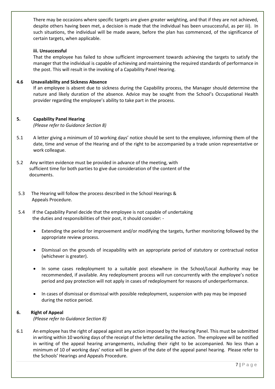There may be occasions where specific targets are given greater weighting, and that if they are not achieved, despite others having been met, a decision is made that the individual has been unsuccessful, as per iii). In such situations, the individual will be made aware, before the plan has commenced, of the significance of certain targets, when applicable.

#### **iii. Unsuccessful**

That the employee has failed to show sufficient improvement towards achieving the targets to satisfy the manager that the individual is capable of achieving and maintaining the required standards of performance in the post. This will result in the invoking of a Capability Panel Hearing.

#### **4.6 Unavailability and Sickness Absence**

If an employee is absent due to sickness during the Capability process, the Manager should determine the nature and likely duration of the absence. Advice may be sought from the School's Occupational Health provider regarding the employee's ability to take part in the process.

#### **5. Capability Panel Hearing**

*(Please refer to Guidance Section 8)*

- 5.1 A letter giving a minimum of 10 working days' notice should be sent to the employee, informing them of the date, time and venue of the Hearing and of the right to be accompanied by a trade union representative or work colleague.
- 5.2 Any written evidence must be provided in advance of the meeting, with sufficient time for both parties to give due consideration of the content of the documents.
- 5.3 The Hearing will follow the process described in the School Hearings & Appeals Procedure.
- 5.4 If the Capability Panel decide that the employee is not capable of undertaking the duties and responsibilities of their post, it should consider: -
	- Extending the period for improvement and/or modifying the targets, further monitoring followed by the appropriate review process.
	- Dismissal on the grounds of incapability with an appropriate period of statutory or contractual notice (whichever is greater).
	- In some cases redeployment to a suitable post elsewhere in the School/Local Authority may be recommended, if available. Any redeployment process will run concurrently with the employee's notice period and pay protection will not apply in cases of redeployment for reasons of underperformance.
	- In cases of dismissal or dismissal with possible redeployment, suspension with pay may be imposed during the notice period.

#### **6. Right of Appeal**

*(Please refer to Guidance Section 8)*

6.1 An employee has the right of appeal against any action imposed by the Hearing Panel. This must be submitted in writing within 10 working days of the receipt of the letter detailing the action. The employee will be notified in writing of the appeal hearing arrangements, including their right to be accompanied. No less than a minimum of 10 of working days' notice will be given of the date of the appeal panel hearing. Please refer to the Schools' Hearings and Appeals Procedure.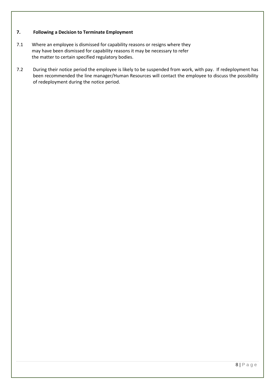#### **7. Following a Decision to Terminate Employment**

- 7.1 Where an employee is dismissed for capability reasons or resigns where they may have been dismissed for capability reasons it may be necessary to refer the matter to certain specified regulatory bodies.
- 7.2 During their notice period the employee is likely to be suspended from work, with pay. If redeployment has been recommended the line manager/Human Resources will contact the employee to discuss the possibility of redeployment during the notice period.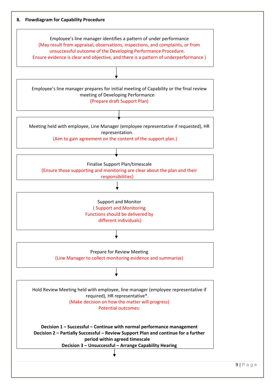

 $9 | P a g e$